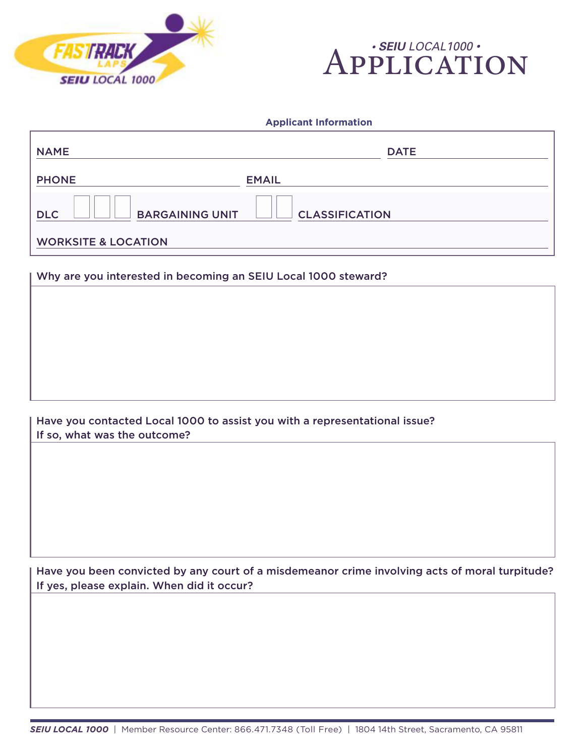



## **Applicant Information**

| <b>NAME</b>                          | <b>DATE</b>           |
|--------------------------------------|-----------------------|
| <b>PHONE</b>                         | <b>EMAIL</b>          |
| <b>BARGAINING UNIT</b><br><b>DLC</b> | <b>CLASSIFICATION</b> |
| <b>WORKSITE &amp; LOCATION</b>       |                       |

## Why are you interested in becoming an SEIU Local 1000 steward?

Have you contacted Local 1000 to assist you with a representational issue? If so, what was the outcome?

Have you been convicted by any court of a misdemeanor crime involving acts of moral turpitude? If yes, please explain. When did it occur?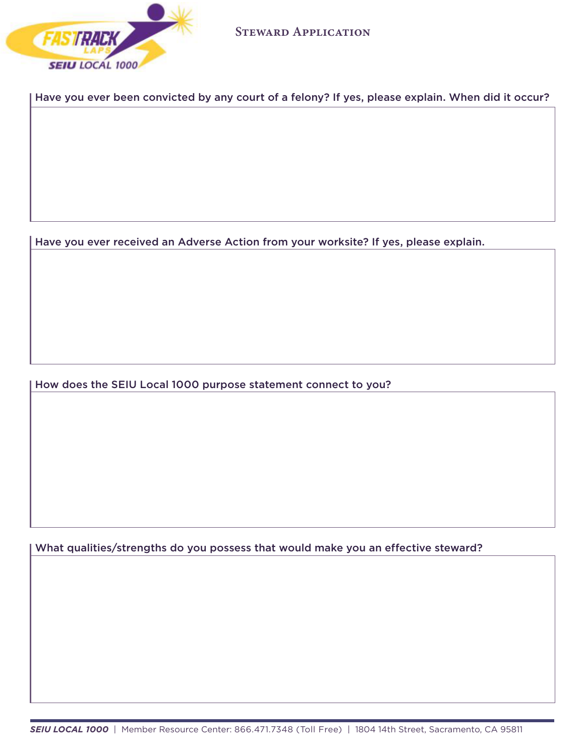

Have you ever been convicted by any court of a felony? If yes, please explain. When did it occur?

Have you ever received an Adverse Action from your worksite? If yes, please explain.

How does the SEIU Local 1000 purpose statement connect to you?

What qualities/strengths do you possess that would make you an effective steward?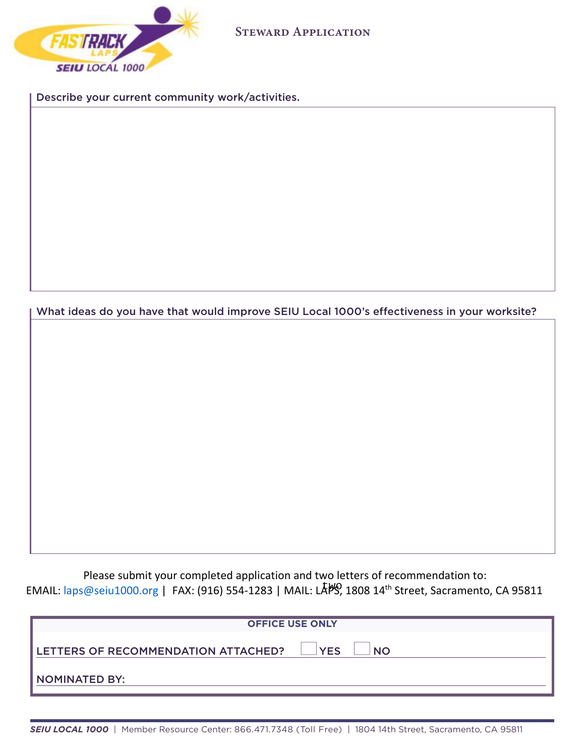

Describe your current community work/activities.

What ideas do you have that would improve SEIU Local 1000's effectiveness in your worksite?

Please submit your completed application and two letters of recommendation to: EMAIL: laps@seiu1000.org | FAX: (916) 554-1283 | MAIL: LASS, 1808 14<sup>th</sup> Street, Sacramento, CA 95811

| <b>OFFICE USE ONLY</b>                     |                         |  |
|--------------------------------------------|-------------------------|--|
| <b>LETTERS OF RECOMMENDATION ATTACHED?</b> | <b>YES</b><br><b>NO</b> |  |
| I NOMINATED BY:                            |                         |  |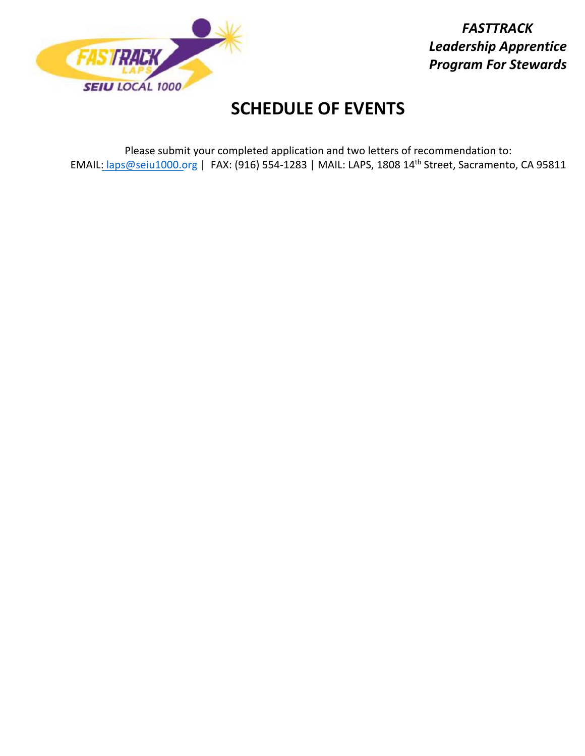

*FASTTRACK Leadership Apprentice Program For Stewards* 

## **SCHEDULE OF EVENTS**

Please submit your completed application and two letters of recommendation to: EMAIL: laps@seiu1000.org | FAX: (916) 554-1283 | MAIL: LAPS, 1808 14<sup>th</sup> Street, Sacramento, CA 95811